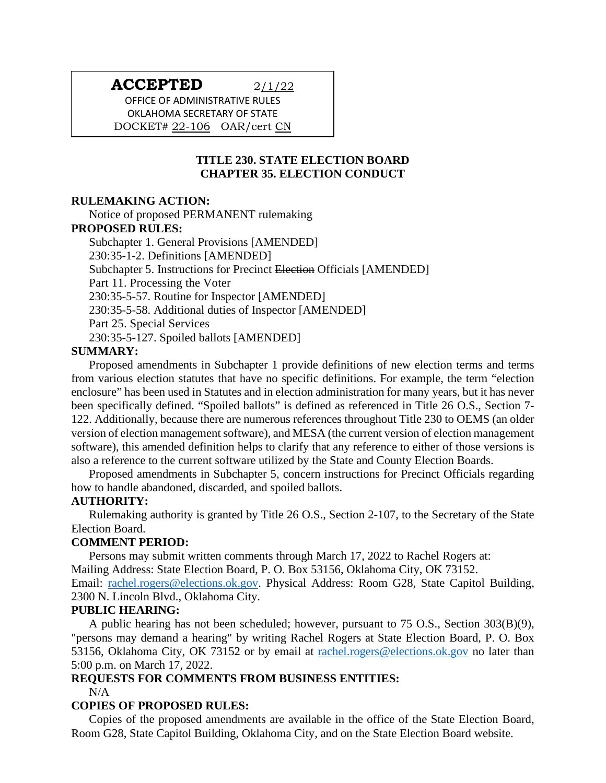# **ACCEPTED** 2/1/22

OFFICE OF ADMINISTRATIVE RULES OKLAHOMA SECRETARY OF STATE DOCKET# 22-106 OAR/cert CN

### **TITLE 230. STATE ELECTION BOARD CHAPTER 35. ELECTION CONDUCT**

#### **RULEMAKING ACTION:**

Notice of proposed PERMANENT rulemaking

### **PROPOSED RULES:**

Subchapter 1. General Provisions [AMENDED] 230:35-1-2. Definitions [AMENDED] Subchapter 5. Instructions for Precinct Election Officials [AMENDED] Part 11. Processing the Voter 230:35-5-57. Routine for Inspector [AMENDED] 230:35-5-58. Additional duties of Inspector [AMENDED] Part 25. Special Services 230:35-5-127. Spoiled ballots [AMENDED]

#### **SUMMARY:**

Proposed amendments in Subchapter 1 provide definitions of new election terms and terms from various election statutes that have no specific definitions. For example, the term "election enclosure" has been used in Statutes and in election administration for many years, but it has never been specifically defined. "Spoiled ballots" is defined as referenced in Title 26 O.S., Section 7-122. Additionally, because there are numerous references throughout Title 230 to OEMS (an older version of election management software), and MESA (the current version of election management software), this amended definition helps to clarify that any reference to either of those versions is also a reference to the current software utilized by the State and County Election Boards.

Proposed amendments in Subchapter 5, concern instructions for Precinct Officials regarding how to handle abandoned, discarded, and spoiled ballots.

### **AUTHORITY:**

Rulemaking authority is granted by Title 26 O.S., Section 2-107, to the Secretary of the State Election Board.

#### **COMMENT PERIOD:**

Persons may submit written comments through March 17, 2022 to Rachel Rogers at: Mailing Address: State Election Board, P. O. Box 53156, Oklahoma City, OK 73152.

Email: [rachel.rogers@elections.ok.gov.](mailto:rachel.rogers@elections.ok.gov) Physical Address: Room G28, State Capitol Building, 2300 N. Lincoln Blvd., Oklahoma City.

### **PUBLIC HEARING:**

A public hearing has not been scheduled; however, pursuant to 75 O.S., Section 303(B)(9), "persons may demand a hearing" by writing Rachel Rogers at State Election Board, P. O. Box 53156, Oklahoma City, OK 73152 or by email at [rachel.rogers@elections.ok.gov](mailto:rachel.rogers@elections.ok.gov) no later than 5:00 p.m. on March 17, 2022.

### **REQUESTS FOR COMMENTS FROM BUSINESS ENTITIES:**

 $N/A$ 

# **COPIES OF PROPOSED RULES:**

Copies of the proposed amendments are available in the office of the State Election Board, Room G28, State Capitol Building, Oklahoma City, and on the State Election Board website.